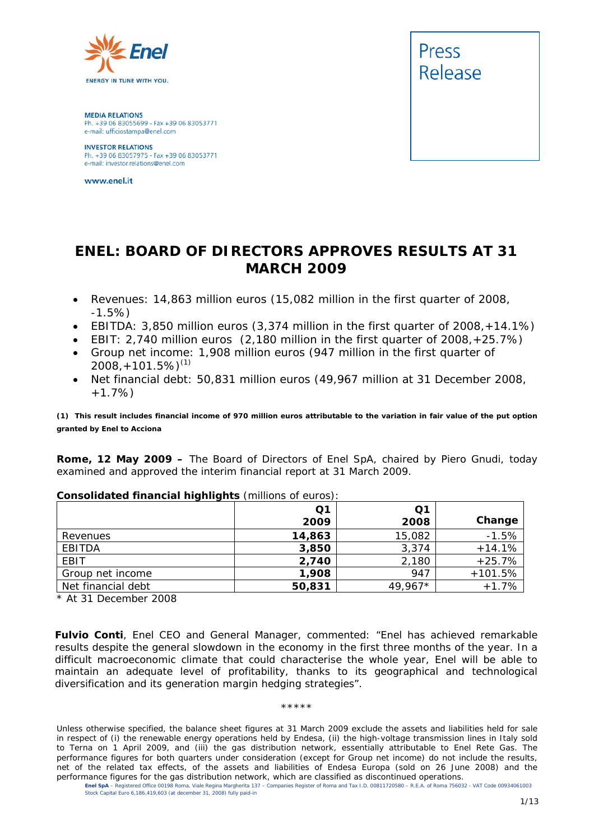

**MEDIA RELATIONS** Ph. +39 06 83055699 - Fax +39 06 83053771 e-mail: ufficiostampa@enel.com

**INVESTOR RELATIONS**<br>Ph. +39 06 83057975 - Fax +39 06 83053771 e-mail: investor.relations@enel.com

www.enel.it



## **ENEL: BOARD OF DIRECTORS APPROVES RESULTS AT 31 MARCH 2009**

- *Revenues: 14,863 million euros (15,082 million in the first quarter of 2008, -1.5%)*
- *EBITDA: 3,850 million euros (3,374 million in the first quarter of 2008,+14.1%)*
- *EBIT: 2,740 million euros (2,180 million in the first quarter of 2008,+25.7%)*
- *Group net income: 1,908 million euros (947 million in the first quarter of 2008,+101.5%)*(1)
- *Net financial debt: 50,831 million euros (49,967 million at 31 December 2008, +1.7%)*

**(1) This result includes financial income of 970 million euros attributable to the variation in fair value of the put option granted by Enel to Acciona**

**Rome, 12 May 2009 –** The Board of Directors of Enel SpA, chaired by Piero Gnudi, today examined and approved the interim financial report at 31 March 2009.

|                    | Q <sub>1</sub> | Q <sub>1</sub> |           |
|--------------------|----------------|----------------|-----------|
|                    | 2009           | 2008           | Change    |
| Revenues           | 14,863         | 15,082         | $-1.5%$   |
| EBITDA             | 3,850          | 3,374          | $+14.1%$  |
| EBIT               | 2,740          | 2,180          | $+25.7%$  |
| Group net income   | 1,908          | 947            | $+101.5%$ |
| Net financial debt | 50,831         | 49,967*        | $+1.7%$   |

#### **Consolidated financial highlights** (millions of euros):

*\* At 31 December 2008* 

**Fulvio Conti**, Enel CEO and General Manager, commented: "Enel has achieved remarkable results despite the general slowdown in the economy in the first three months of the year. In a difficult macroeconomic climate that could characterise the whole year, Enel will be able to maintain an adequate level of profitability, thanks to its geographical and technological diversification and its generation margin hedging strategies".

#### \*\*\*\*\*

Unless otherwise specified, the balance sheet figures at 31 March 2009 exclude the assets and liabilities held for sale in respect of (i) the renewable energy operations held by Endesa, (ii) the high-voltage transmission lines in Italy sold to Terna on 1 April 2009, and (iii) the gas distribution network, essentially attributable to Enel Rete Gas. The performance figures for both quarters under consideration (except for Group net income) do not include the results, net of the related tax effects, of the assets and liabilities of Endesa Europa (sold on 26 June 2008) and the performance figures for the gas distribution network, which are classified as discontinued operations.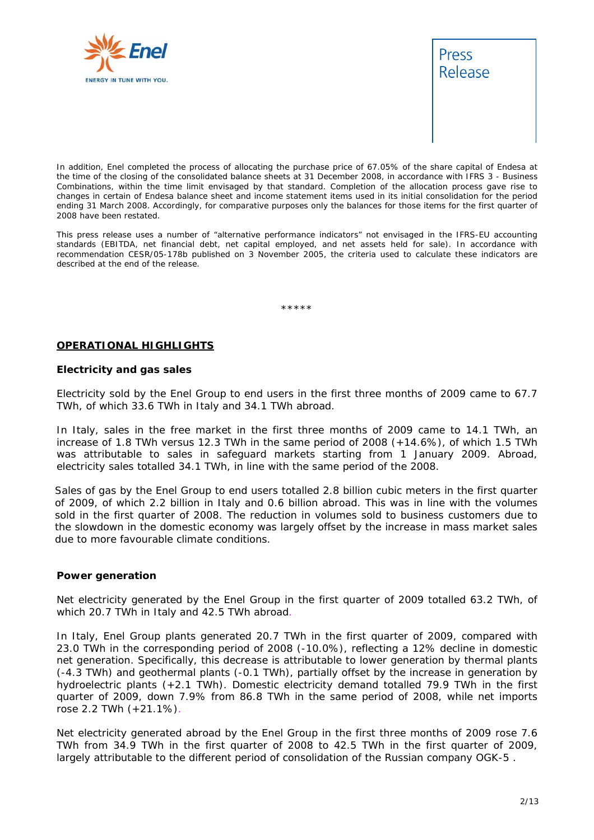



In addition, Enel completed the process of allocating the purchase price of 67.05% of the share capital of Endesa at the time of the closing of the consolidated balance sheets at 31 December 2008, in accordance with IFRS 3 - Business Combinations, within the time limit envisaged by that standard. Completion of the allocation process gave rise to changes in certain of Endesa balance sheet and income statement items used in its initial consolidation for the period ending 31 March 2008. Accordingly, for comparative purposes only the balances for those items for the first quarter of 2008 have been restated.

This press release uses a number of "alternative performance indicators" not envisaged in the IFRS-EU accounting standards (EBITDA, net financial debt, net capital employed, and net assets held for sale). In accordance with recommendation CESR/05-178b published on 3 November 2005, the criteria used to calculate these indicators are described at the end of the release.

\*\*\*\*\*

#### **OPERATIONAL HIGHLIGHTS**

#### **Electricity and gas sales**

Electricity sold by the Enel Group to end users in the first three months of 2009 came to 67.7 TWh, of which 33.6 TWh in Italy and 34.1 TWh abroad.

In Italy, sales in the free market in the first three months of 2009 came to 14.1 TWh, an increase of 1.8 TWh versus 12.3 TWh in the same period of 2008 (+14.6%), of which 1.5 TWh was attributable to sales in safeguard markets starting from 1 January 2009. Abroad, electricity sales totalled 34.1 TWh, in line with the same period of the 2008.

Sales of gas by the Enel Group to end users totalled 2.8 billion cubic meters in the first quarter of 2009, of which 2.2 billion in Italy and 0.6 billion abroad. This was in line with the volumes sold in the first quarter of 2008. The reduction in volumes sold to business customers due to the slowdown in the domestic economy was largely offset by the increase in mass market sales due to more favourable climate conditions.

#### **Power generation**

Net electricity generated by the Enel Group in the first quarter of 2009 totalled 63.2 TWh, of which 20.7 TWh in Italy and 42.5 TWh abroad.

In Italy, Enel Group plants generated 20.7 TWh in the first quarter of 2009, compared with 23.0 TWh in the corresponding period of 2008 (-10.0%), reflecting a 12% decline in domestic net generation. Specifically, this decrease is attributable to lower generation by thermal plants (-4.3 TWh) and geothermal plants (-0.1 TWh), partially offset by the increase in generation by hydroelectric plants (+2.1 TWh). Domestic electricity demand totalled 79.9 TWh in the first quarter of 2009, down 7.9% from 86.8 TWh in the same period of 2008, while net imports rose 2.2 TWh (+21.1%).

Net electricity generated abroad by the Enel Group in the first three months of 2009 rose 7.6 TWh from 34.9 TWh in the first quarter of 2008 to 42.5 TWh in the first quarter of 2009, largely attributable to the different period of consolidation of the Russian company OGK-5 .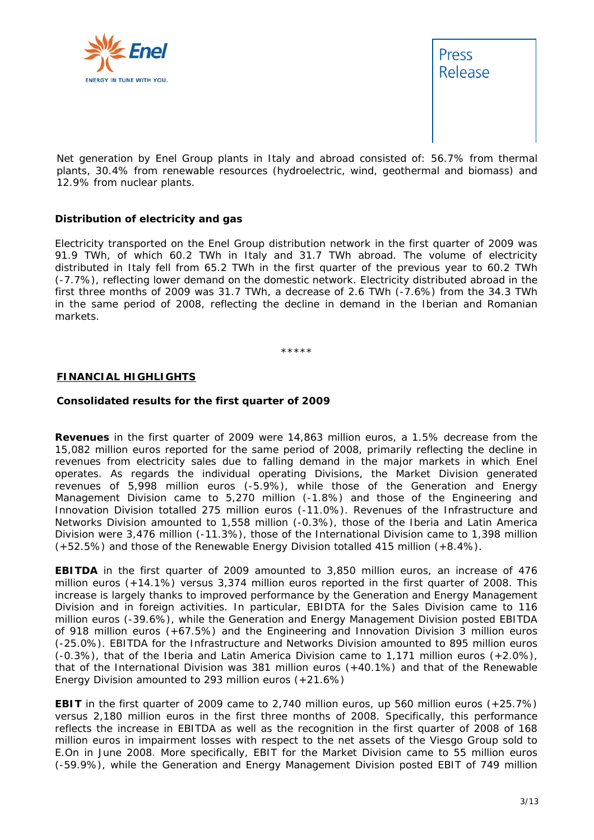



Net generation by Enel Group plants in Italy and abroad consisted of: 56.7% from thermal plants, 30.4% from renewable resources (hydroelectric, wind, geothermal and biomass) and 12.9% from nuclear plants.

#### **Distribution of electricity and gas**

Electricity transported on the Enel Group distribution network in the first quarter of 2009 was 91.9 TWh, of which 60.2 TWh in Italy and 31.7 TWh abroad. The volume of electricity distributed in Italy fell from 65.2 TWh in the first quarter of the previous year to 60.2 TWh (-7.7%), reflecting lower demand on the domestic network. Electricity distributed abroad in the first three months of 2009 was 31.7 TWh, a decrease of 2.6 TWh (-7.6%) from the 34.3 TWh in the same period of 2008, reflecting the decline in demand in the Iberian and Romanian markets.

\*\*\*\*\*

#### **FINANCIAL HIGHLIGHTS**

#### **Consolidated results for the first quarter of 2009**

**Revenues** in the first quarter of 2009 were 14,863 million euros, a 1.5% decrease from the 15,082 million euros reported for the same period of 2008, primarily reflecting the decline in revenues from electricity sales due to falling demand in the major markets in which Enel operates. As regards the individual operating Divisions, the Market Division generated revenues of 5,998 million euros (-5.9%), while those of the Generation and Energy Management Division came to 5,270 million (-1.8%) and those of the Engineering and Innovation Division totalled 275 million euros (-11.0%). Revenues of the Infrastructure and Networks Division amounted to 1,558 million (-0.3%), those of the Iberia and Latin America Division were 3,476 million (-11.3%), those of the International Division came to 1,398 million (+52.5%) and those of the Renewable Energy Division totalled 415 million (+8.4%).

**EBITDA** in the first quarter of 2009 amounted to 3,850 million euros, an increase of 476 million euros (+14.1%) versus 3,374 million euros reported in the first quarter of 2008. This increase is largely thanks to improved performance by the Generation and Energy Management Division and in foreign activities. In particular, EBIDTA for the Sales Division came to 116 million euros (-39.6%), while the Generation and Energy Management Division posted EBITDA of 918 million euros (+67.5%) and the Engineering and Innovation Division 3 million euros (-25.0%). EBITDA for the Infrastructure and Networks Division amounted to 895 million euros (-0.3%), that of the Iberia and Latin America Division came to 1,171 million euros (+2.0%), that of the International Division was 381 million euros (+40.1%) and that of the Renewable Energy Division amounted to 293 million euros (+21.6%)

**EBIT** in the first quarter of 2009 came to 2,740 million euros, up 560 million euros (+25.7%) versus 2,180 million euros in the first three months of 2008. Specifically, this performance reflects the increase in EBITDA as well as the recognition in the first quarter of 2008 of 168 million euros in impairment losses with respect to the net assets of the Viesgo Group sold to E.On in June 2008. More specifically, EBIT for the Market Division came to 55 million euros (-59.9%), while the Generation and Energy Management Division posted EBIT of 749 million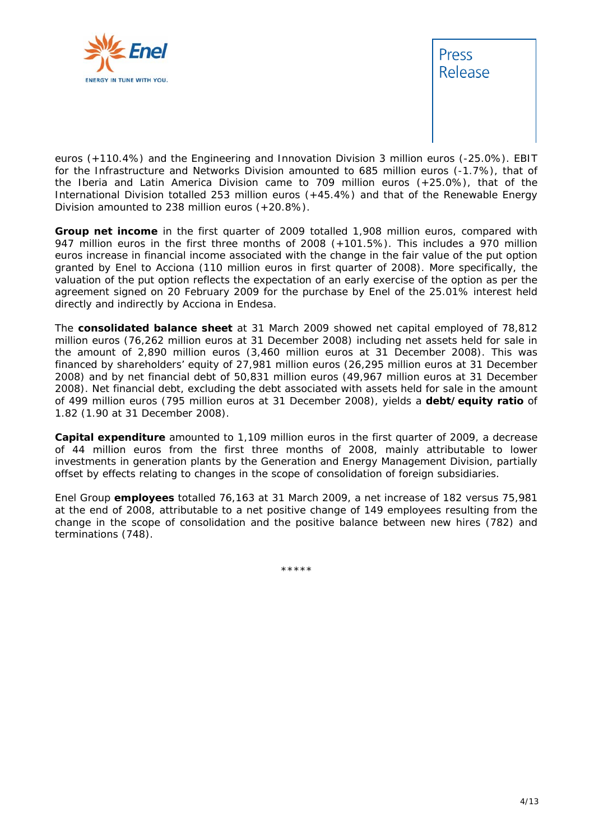



euros (+110.4%) and the Engineering and Innovation Division 3 million euros (-25.0%). EBIT for the Infrastructure and Networks Division amounted to 685 million euros (-1.7%), that of the Iberia and Latin America Division came to 709 million euros (+25.0%), that of the International Division totalled 253 million euros (+45.4%) and that of the Renewable Energy Division amounted to 238 million euros (+20.8%).

**Group net income** in the first quarter of 2009 totalled 1,908 million euros, compared with 947 million euros in the first three months of 2008 (+101.5%). This includes a 970 million euros increase in financial income associated with the change in the fair value of the put option granted by Enel to Acciona (110 million euros in first quarter of 2008). More specifically, the valuation of the put option reflects the expectation of an early exercise of the option as per the agreement signed on 20 February 2009 for the purchase by Enel of the 25.01% interest held directly and indirectly by Acciona in Endesa.

The **consolidated balance sheet** at 31 March 2009 showed net capital employed of 78,812 million euros (76,262 million euros at 31 December 2008) including net assets held for sale in the amount of 2,890 million euros (3,460 million euros at 31 December 2008). This was financed by shareholders' equity of 27,981 million euros (26,295 million euros at 31 December 2008) and by net financial debt of 50,831 million euros (49,967 million euros at 31 December 2008). Net financial debt, excluding the debt associated with assets held for sale in the amount of 499 million euros (795 million euros at 31 December 2008), yields a **debt/equity ratio** of 1.82 (1.90 at 31 December 2008).

**Capital expenditure** amounted to 1,109 million euros in the first quarter of 2009, a decrease of 44 million euros from the first three months of 2008, mainly attributable to lower investments in generation plants by the Generation and Energy Management Division, partially offset by effects relating to changes in the scope of consolidation of foreign subsidiaries.

Enel Group **employees** totalled 76,163 at 31 March 2009, a net increase of 182 versus 75,981 at the end of 2008, attributable to a net positive change of 149 employees resulting from the change in the scope of consolidation and the positive balance between new hires (782) and terminations (748).

\*\*\*\*\*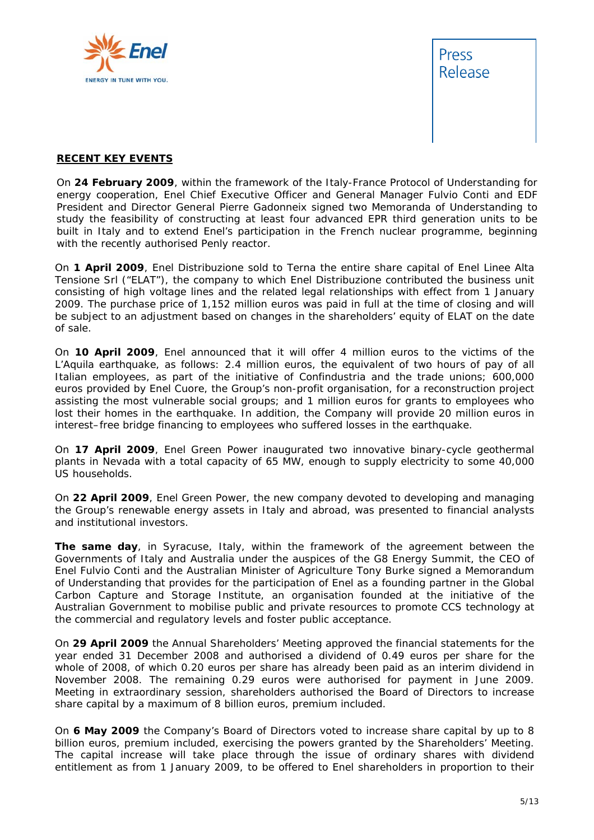



#### **RECENT KEY EVENTS**

On **24 February 2009**, within the framework of the Italy-France Protocol of Understanding for energy cooperation, Enel Chief Executive Officer and General Manager Fulvio Conti and EDF President and Director General Pierre Gadonneix signed two Memoranda of Understanding to study the feasibility of constructing at least four advanced EPR third generation units to be built in Italy and to extend Enel's participation in the French nuclear programme, beginning with the recently authorised Penly reactor.

On **1 April 2009**, Enel Distribuzione sold to Terna the entire share capital of Enel Linee Alta Tensione Srl ("ELAT"), the company to which Enel Distribuzione contributed the business unit consisting of high voltage lines and the related legal relationships with effect from 1 January 2009. The purchase price of 1,152 million euros was paid in full at the time of closing and will be subject to an adjustment based on changes in the shareholders' equity of ELAT on the date of sale.

On **10 April 2009**, Enel announced that it will offer 4 million euros to the victims of the L'Aquila earthquake, as follows: 2.4 million euros, the equivalent of two hours of pay of all Italian employees, as part of the initiative of Confindustria and the trade unions; 600,000 euros provided by Enel Cuore, the Group's non-profit organisation, for a reconstruction project assisting the most vulnerable social groups; and 1 million euros for grants to employees who lost their homes in the earthquake. In addition, the Company will provide 20 million euros in interest–free bridge financing to employees who suffered losses in the earthquake.

On **17 April 2009**, Enel Green Power inaugurated two innovative binary-cycle geothermal plants in Nevada with a total capacity of 65 MW, enough to supply electricity to some 40,000 US households.

On **22 April 2009**, Enel Green Power, the new company devoted to developing and managing the Group's renewable energy assets in Italy and abroad, was presented to financial analysts and institutional investors.

**The same day**, in Syracuse, Italy, within the framework of the agreement between the Governments of Italy and Australia under the auspices of the G8 Energy Summit, the CEO of Enel Fulvio Conti and the Australian Minister of Agriculture Tony Burke signed a Memorandum of Understanding that provides for the participation of Enel as a founding partner in the Global Carbon Capture and Storage Institute, an organisation founded at the initiative of the Australian Government to mobilise public and private resources to promote CCS technology at the commercial and regulatory levels and foster public acceptance.

On **29 April 2009** the Annual Shareholders' Meeting approved the financial statements for the year ended 31 December 2008 and authorised a dividend of 0.49 euros per share for the whole of 2008, of which 0.20 euros per share has already been paid as an interim dividend in November 2008. The remaining 0.29 euros were authorised for payment in June 2009. Meeting in extraordinary session, shareholders authorised the Board of Directors to increase share capital by a maximum of 8 billion euros, premium included.

On **6 May 2009** the Company's Board of Directors voted to increase share capital by up to 8 billion euros, premium included, exercising the powers granted by the Shareholders' Meeting. The capital increase will take place through the issue of ordinary shares with dividend entitlement as from 1 January 2009, to be offered to Enel shareholders in proportion to their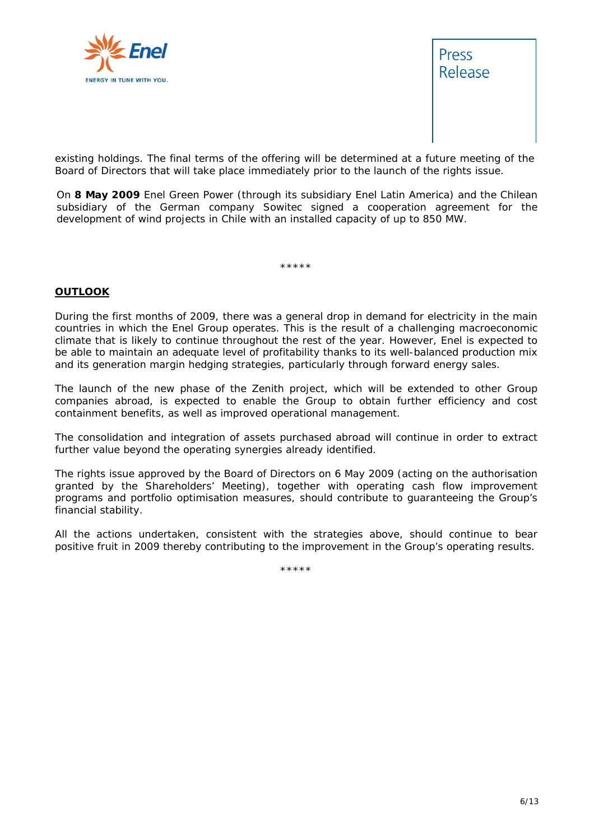



existing holdings. The final terms of the offering will be determined at a future meeting of the Board of Directors that will take place immediately prior to the launch of the rights issue.

On **8 May 2009** Enel Green Power (through its subsidiary Enel Latin America) and the Chilean subsidiary of the German company Sowitec signed a cooperation agreement for the development of wind projects in Chile with an installed capacity of up to 850 MW.

\*\*\*\*\*

#### **OUTLOOK**

During the first months of 2009, there was a general drop in demand for electricity in the main countries in which the Enel Group operates. This is the result of a challenging macroeconomic climate that is likely to continue throughout the rest of the year. However, Enel is expected to be able to maintain an adequate level of profitability thanks to its well-balanced production mix and its generation margin hedging strategies, particularly through forward energy sales.

The launch of the new phase of the Zenith project, which will be extended to other Group companies abroad, is expected to enable the Group to obtain further efficiency and cost containment benefits, as well as improved operational management.

The consolidation and integration of assets purchased abroad will continue in order to extract further value beyond the operating synergies already identified.

The rights issue approved by the Board of Directors on 6 May 2009 (acting on the authorisation granted by the Shareholders' Meeting), together with operating cash flow improvement programs and portfolio optimisation measures, should contribute to guaranteeing the Group's financial stability.

All the actions undertaken, consistent with the strategies above, should continue to bear positive fruit in 2009 thereby contributing to the improvement in the Group's operating results.

\*\*\*\*\*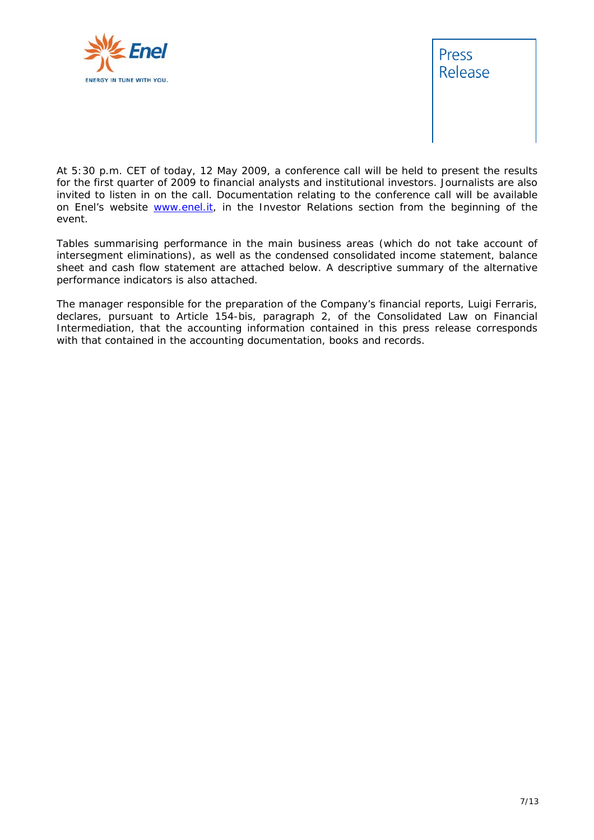



*At 5:30 p.m. CET of today, 12 May 2009, a conference call will be held to present the results for the first quarter of 2009 to financial analysts and institutional investors. Journalists are also*  invited to listen in on the call. Documentation relating to the conference call will be available *on Enel's website www.enel.it, in the Investor Relations section from the beginning of the event.* 

*Tables summarising performance in the main business areas (which do not take account of intersegment eliminations), as well as the condensed consolidated income statement, balance sheet and cash flow statement are attached below. A descriptive summary of the alternative performance indicators is also attached.* 

*The manager responsible for the preparation of the Company's financial reports, Luigi Ferraris, declares, pursuant to Article 154-bis, paragraph 2, of the Consolidated Law on Financial Intermediation, that the accounting information contained in this press release corresponds with that contained in the accounting documentation, books and records.*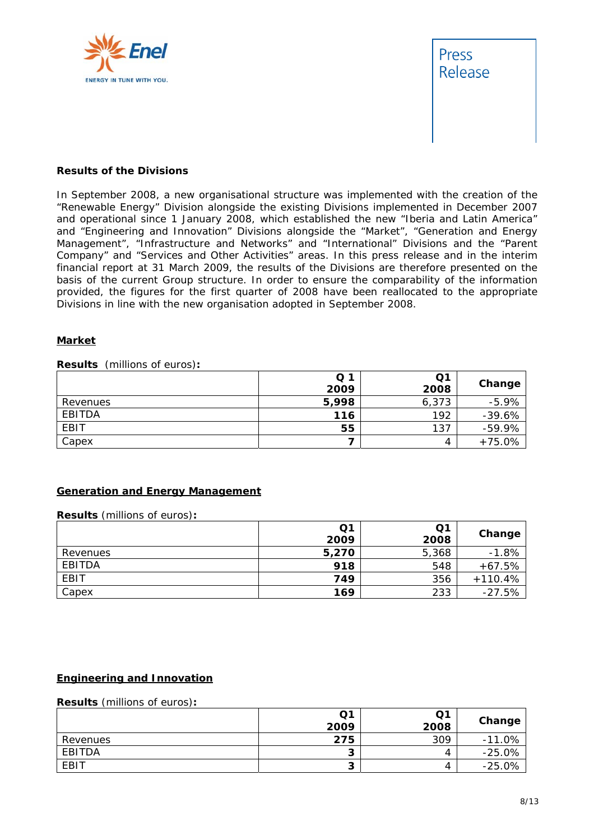



#### **Results of the Divisions**

In September 2008, a new organisational structure was implemented with the creation of the "Renewable Energy" Division alongside the existing Divisions implemented in December 2007 and operational since 1 January 2008, which established the new "Iberia and Latin America" and "Engineering and Innovation" Divisions alongside the "Market", "Generation and Energy Management", "Infrastructure and Networks" and "International" Divisions and the "Parent Company" and "Services and Other Activities" areas. In this press release and in the interim financial report at 31 March 2009, the results of the Divisions are therefore presented on the basis of the current Group structure. In order to ensure the comparability of the information provided, the figures for the first quarter of 2008 have been reallocated to the appropriate Divisions in line with the new organisation adopted in September 2008.

#### **Market**

**Results** (millions of euros)**:** 

|             | Q <sub>1</sub> | Q1    | Change    |
|-------------|----------------|-------|-----------|
|             | 2009           | 2008  |           |
| Revenues    | 5,998          | 6,373 | $-5.9%$   |
| EBITDA      | 116            | 192   | $-39.6%$  |
| <b>EBIT</b> | 55             | 137   | $-59.9\%$ |
| Capex       |                | 4     | $+75.0%$  |

#### **Generation and Energy Management**

**Results** (millions of euros)**:** 

|          | Q <sub>1</sub> | Q1    |           |
|----------|----------------|-------|-----------|
|          | 2009           | 2008  | Change    |
| Revenues | 5,270          | 5,368 | $-1.8%$   |
| EBITDA   | 918            | 548   | $+67.5%$  |
| EBIT     | 749            | 356   | $+110.4%$ |
| Capex    | 169            | 233   | $-27.5%$  |

#### **Engineering and Innovation**

#### **Results** (millions of euros)**:**

|          | Q1<br>2009 | Q1<br>2008 | Change   |
|----------|------------|------------|----------|
| Revenues | 275        | 309        | $-11.0%$ |
| EBITDA   | ∽          | 4          | $-25.0%$ |
| EBIT     |            | 4          | $-25.0%$ |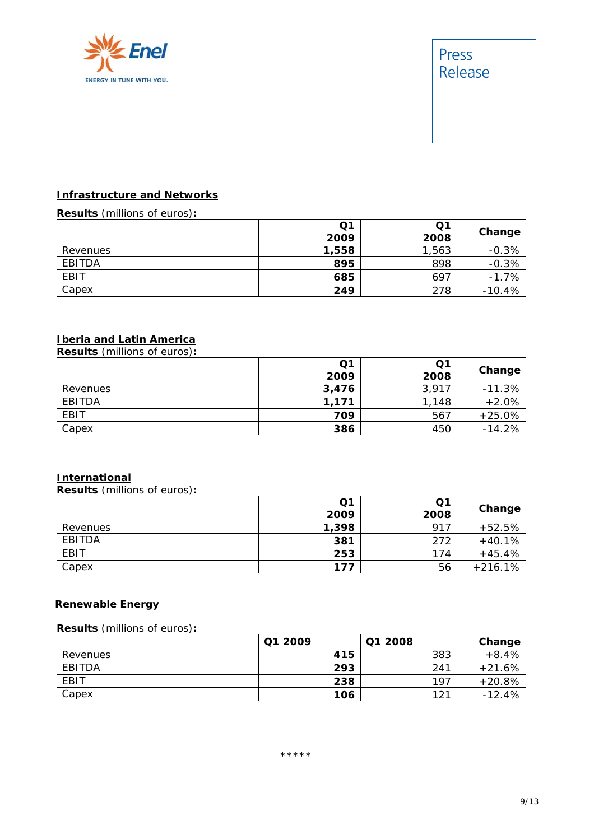

## Press Release

#### **Infrastructure and Networks**

#### **Results** (millions of euros)**:**

|          | Q1    | Q1    |          |
|----------|-------|-------|----------|
|          | 2009  | 2008  | Change   |
| Revenues | 1,558 | 1,563 | $-0.3%$  |
| EBITDA   | 895   | 898   | $-0.3%$  |
| EBIT     | 685   | 697   | $-1.7%$  |
| Capex    | 249   | 278   | $-10.4%$ |

### **Iberia and Latin America**

**Results** (millions of euros)**:** 

|             | Q1    | Q1    |          |
|-------------|-------|-------|----------|
|             | 2009  | 2008  | Change   |
| Revenues    | 3,476 | 3,917 | $-11.3%$ |
| EBITDA      | 1,171 | 1,148 | $+2.0%$  |
| <b>EBIT</b> | 709   | 567   | $+25.0%$ |
| Capex       | 386   | 450   | $-14.2%$ |

#### **International**

**Results** (millions of euros)**:** 

|          | Q <sub>1</sub><br>2009 | Q1<br>2008 | Change    |
|----------|------------------------|------------|-----------|
| Revenues | 1,398                  | 917        | $+52.5%$  |
| EBITDA   | 381                    | 272        | $+40.1%$  |
| EBIT     | 253                    | 174        | $+45.4%$  |
| Capex    | 177                    | 56         | $+216.1%$ |

#### **Renewable Energy**

**Results** (millions of euros)**:** 

|          | Q1 2009 | Q1 2008 | Change   |
|----------|---------|---------|----------|
| Revenues | 415     | 383     | $+8.4%$  |
| EBITDA   | 293     | 241     | $+21.6%$ |
| EBIT     | 238     | 197     | $+20.8%$ |
| Capex    | 106     | 121     | $-12.4%$ |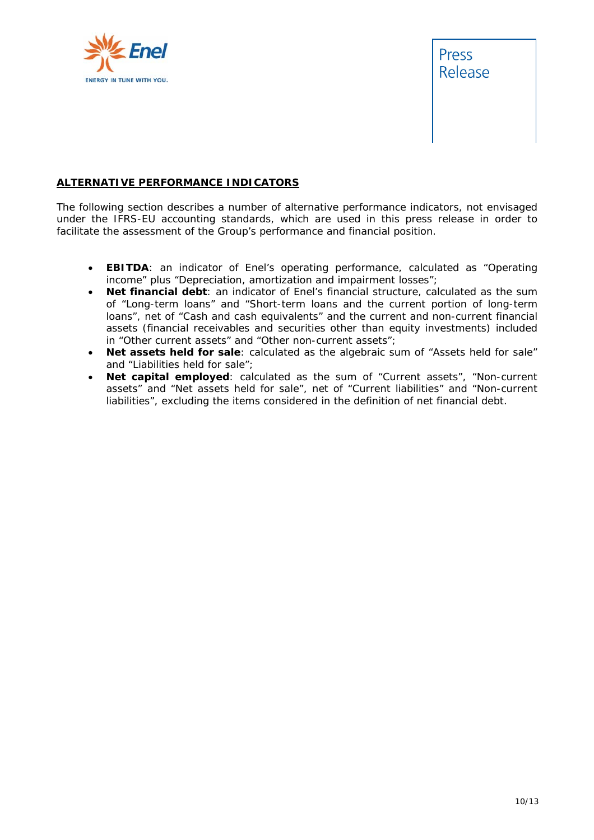



#### **ALTERNATIVE PERFORMANCE INDICATORS**

The following section describes a number of alternative performance indicators, not envisaged under the IFRS-EU accounting standards, which are used in this press release in order to facilitate the assessment of the Group's performance and financial position.

- **EBITDA:** an indicator of Enel's operating performance, calculated as "Operating income" plus "Depreciation, amortization and impairment losses";
- **Net financial debt**: an indicator of Enel's financial structure, calculated as the sum of "Long-term loans" and "Short-term loans and the current portion of long-term loans", net of "Cash and cash equivalents" and the current and non-current financial assets (financial receivables and securities other than equity investments) included in "Other current assets" and "Other non-current assets";
- **Net assets held for sale**: calculated as the algebraic sum of "Assets held for sale" and "Liabilities held for sale";
- **Net capital employed**: calculated as the sum of "Current assets", "Non-current assets" and "Net assets held for sale", net of "Current liabilities" and "Non-current liabilities", excluding the items considered in the definition of net financial debt.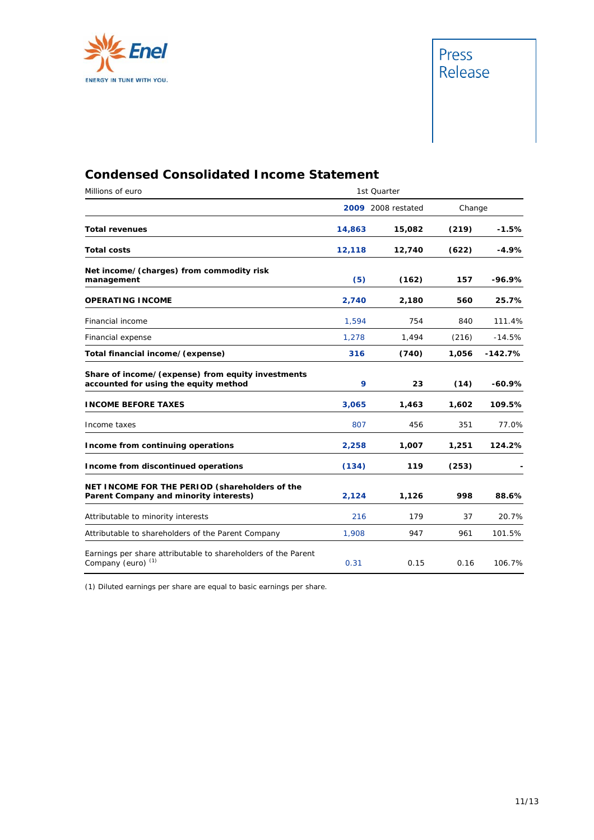



## **Condensed Consolidated Income Statement**

| Millions of euro                                                                               |        | 1st Quarter        |        |           |
|------------------------------------------------------------------------------------------------|--------|--------------------|--------|-----------|
|                                                                                                |        | 2009 2008 restated | Change |           |
| <b>Total revenues</b>                                                                          | 14,863 | 15,082             | (219)  | $-1.5%$   |
| <b>Total costs</b>                                                                             | 12,118 | 12,740             | (622)  | $-4.9%$   |
| Net income/(charges) from commodity risk<br>management                                         | (5)    | (162)              | 157    | -96.9%    |
| <b>OPERATING INCOME</b>                                                                        | 2,740  | 2,180              | 560    | 25.7%     |
| Financial income                                                                               | 1,594  | 754                | 840    | 111.4%    |
| Financial expense                                                                              | 1,278  | 1,494              | (216)  | $-14.5%$  |
| Total financial income/(expense)                                                               | 316    | (740)              | 1,056  | $-142.7%$ |
| Share of income/(expense) from equity investments<br>accounted for using the equity method     | 9      | 23                 | (14)   | $-60.9%$  |
| <b>INCOME BEFORE TAXES</b>                                                                     | 3,065  | 1,463              | 1,602  | 109.5%    |
| Income taxes                                                                                   | 807    | 456                | 351    | 77.0%     |
| Income from continuing operations                                                              | 2,258  | 1,007              | 1,251  | 124.2%    |
| Income from discontinued operations                                                            | (134)  | 119                | (253)  |           |
| NET INCOME FOR THE PERIOD (shareholders of the<br>Parent Company and minority interests)       | 2,124  | 1,126              | 998    | 88.6%     |
| Attributable to minority interests                                                             | 216    | 179                | 37     | 20.7%     |
| Attributable to shareholders of the Parent Company                                             | 1,908  | 947                | 961    | 101.5%    |
| Earnings per share attributable to shareholders of the Parent<br>Company (euro) <sup>(1)</sup> | 0.31   | 0.15               | 0.16   | 106.7%    |

(1) Diluted earnings per share are equal to basic earnings per share.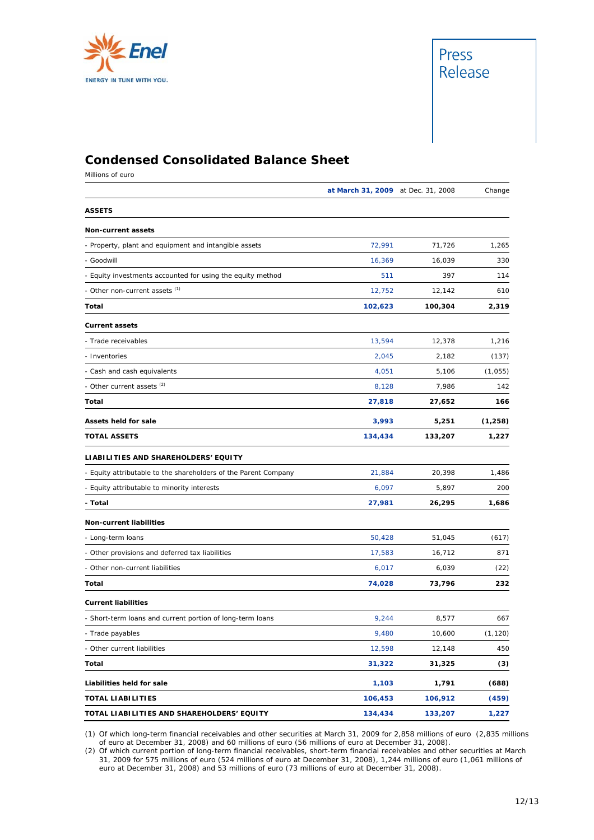



## **Condensed Consolidated Balance Sheet**

Millions of euro

|                                                                 | at March 31, 2009 at Dec. 31, 2008 |         | Change   |
|-----------------------------------------------------------------|------------------------------------|---------|----------|
| <b>ASSETS</b>                                                   |                                    |         |          |
| Non-current assets                                              |                                    |         |          |
| - Property, plant and equipment and intangible assets           | 72,991                             | 71,726  | 1,265    |
| - Goodwill                                                      | 16,369                             | 16,039  | 330      |
| - Equity investments accounted for using the equity method      | 511                                | 397     | 114      |
| - Other non-current assets (1)                                  | 12,752                             | 12,142  | 610      |
| Total                                                           | 102,623                            | 100,304 | 2,319    |
| <b>Current assets</b>                                           |                                    |         |          |
| - Trade receivables                                             | 13,594                             | 12,378  | 1,216    |
| - Inventories                                                   | 2,045                              | 2,182   | (137)    |
| - Cash and cash equivalents                                     | 4,051                              | 5,106   | (1,055)  |
| - Other current assets <sup>(2)</sup>                           | 8,128                              | 7,986   | 142      |
| Total                                                           | 27,818                             | 27,652  | 166      |
| Assets held for sale                                            | 3,993                              | 5,251   | (1,258)  |
| <b>TOTAL ASSETS</b>                                             | 134,434                            | 133,207 | 1,227    |
| LIABILITIES AND SHAREHOLDERS' EQUITY                            |                                    |         |          |
| - Equity attributable to the shareholders of the Parent Company | 21,884                             | 20,398  | 1,486    |
| - Equity attributable to minority interests                     | 6,097                              | 5,897   | 200      |
| - Total                                                         | 27,981                             | 26,295  | 1,686    |
| Non-current liabilities                                         |                                    |         |          |
| - Long-term loans                                               | 50,428                             | 51,045  | (617)    |
| - Other provisions and deferred tax liabilities                 | 17,583                             | 16,712  | 871      |
| - Other non-current liabilities                                 | 6,017                              | 6,039   | (22)     |
| Total                                                           | 74,028                             | 73,796  | 232      |
| <b>Current liabilities</b>                                      |                                    |         |          |
| - Short-term loans and current portion of long-term loans       | 9,244                              | 8,577   | 667      |
| - Trade payables                                                | 9,480                              | 10,600  | (1, 120) |
| - Other current liabilities                                     | 12,598                             | 12,148  | 450      |
| Total                                                           | 31,322                             | 31,325  | (3)      |
| Liabilities held for sale                                       | 1,103                              | 1,791   | (688)    |
| <b>TOTAL LIABILITIES</b>                                        | 106,453                            | 106,912 | (459)    |
| TOTAL LIABILITIES AND SHAREHOLDERS' EQUITY                      | 134,434                            | 133,207 | 1,227    |

(1) Of which long-term financial receivables and other securities at March 31, 2009 for 2,858 millions of euro (2,835 millions of euro at December 31, 2008) and 60 millions of euro (56 millions of euro at December 31, 2008).

(2) Of which current portion of long-term financial receivables, short-term financial receivables and other securities at March 31, 2009 for 575 millions of euro (524 millions of euro at December 31, 2008), 1,244 millions of euro (1,061 millions of euro at December 31, 2008) and 53 millions of euro (73 millions of euro at December 31, 2008).